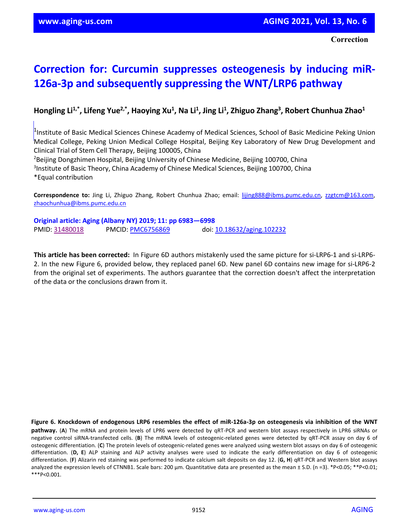## **Correction for: Curcumin suppresses osteogenesis by inducing miR-126a-3p and subsequently suppressing the WNT/LRP6 pathway**

## Hongling Li<sup>1,\*</sup>, Lifeng Yue<sup>2,\*</sup>, Haoying Xu<sup>1</sup>, Na Li<sup>1</sup>, Jing Li<sup>1</sup>, Zhiguo Zhang<sup>3</sup>, Robert Chunhua Zhao<sup>1</sup>

Medical College, Peking Union Medical College Hospital, Beijing Key Laboratory of New Drug Development and<br>Clinical Trial of Stem Cell Therany, Beijing 100005, China <sup>1</sup>Institute of Basic Medical Sciences Chinese Academy of Medical Sciences, School of Basic Medicine Peking Union Clinical Trial of Stem Cell Therapy, Beijing 100005, China

2 Beijing Dongzhimen Hospital, Beijing University of Chinese Medicine, Beijing 100700, China <sup>3</sup>Institute of Basic Theory, China Academy of Chinese Medical Sciences, Beijing 100700, China \*Equal contribution

**Correspondence to:** Jing Li, Zhiguo Zhang, Robert Chunhua Zhao; email: [lijing888@ibms.pumc.edu.cn,](mailto:lijing888@ibms.pumc.edu.cn) [zzgtcm@163.com,](mailto:zzgtcm@163.com)  [zhaochunhua@ibms.pumc.edu.cn](mailto:zhaochunhua@ibms.pumc.edu.cn)

**Original article: Aging (Albany NY) 2019; 11: pp 6983—6998** PMID[: 31480018](https://pubmed.ncbi.nlm.nih.gov/31480018/) PMCID[: PMC6756869](http://www.ncbi.nlm.nih.gov/pmc/articles/pmc6756869/) doi: [10.18632/aging.102232](https://doi.org/10.18632/aging.102232)

**This article has been corrected:** In Figure 6D authors mistakenly used the same picture for si-LRP6-1 and si-LRP6- 2. In the new Figure 6, provided below, they replaced panel 6D. New panel 6D contains new image for si-LRP6-2 from the original set of experiments. The authors guarantee that the correction doesn't affect the interpretation of the data or the conclusions drawn from it.

**Figure 6. Knockdown of endogenous LRP6 resembles the effect of miR-126a-3p on osteogenesis via inhibition of the WNT pathway.** (**A**) The mRNA and protein levels of LPR6 were detected by qRT-PCR and western blot assays respectively in LPR6 siRNAs or negative control siRNA-transfected cells. (**B**) The mRNA levels of osteogenic-related genes were detected by qRT-PCR assay on day 6 of osteogenic differentiation. (**C**) The protein levels of osteogenic-related genes were analyzed using western blot assays on day 6 of osteogenic differentiation. (**D, E**) ALP staining and ALP activity analyses were used to indicate the early differentiation on day 6 of osteogenic differentiation. (**F**) Alizarin red staining was performed to indicate calcium salt deposits on day 12. (**G, H**) qRT-PCR and Western blot assays analyzed the expression levels of CTNNB1. Scale bars: 200 µm. Quantitative data are presented as the mean ± S.D. (n =3). \*P<0.05; \*\*P<0.01; \*\*\*P<0.001.